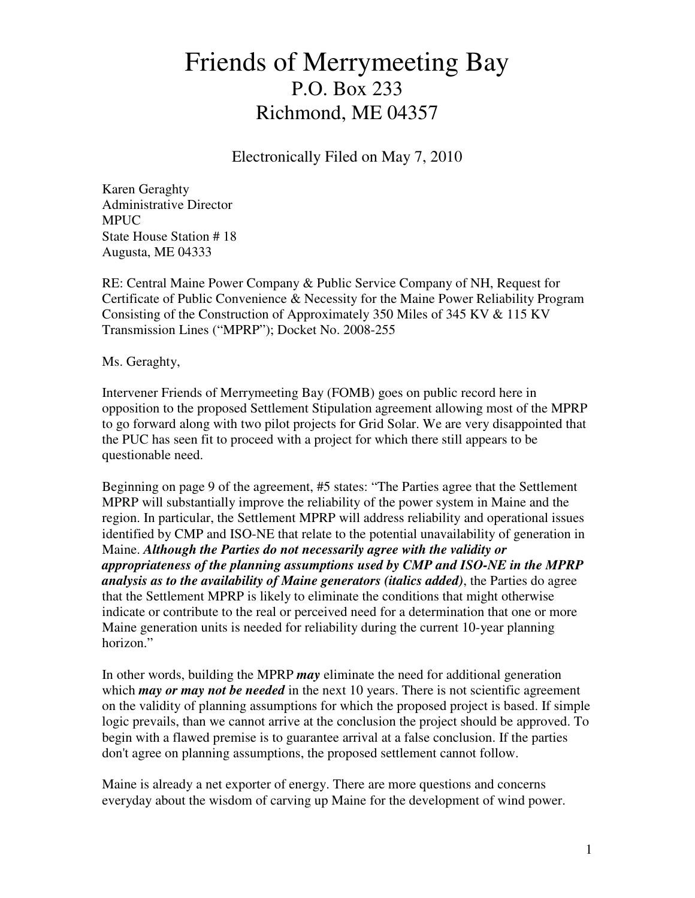## Friends of Merrymeeting Bay P.O. Box 233 Richmond, ME 04357

Electronically Filed on May 7, 2010

Karen Geraghty Administrative Director MPUC State House Station # 18 Augusta, ME 04333

RE: Central Maine Power Company & Public Service Company of NH, Request for Certificate of Public Convenience & Necessity for the Maine Power Reliability Program Consisting of the Construction of Approximately 350 Miles of 345 KV & 115 KV Transmission Lines ("MPRP"); Docket No. 2008-255

Ms. Geraghty,

Intervener Friends of Merrymeeting Bay (FOMB) goes on public record here in opposition to the proposed Settlement Stipulation agreement allowing most of the MPRP to go forward along with two pilot projects for Grid Solar. We are very disappointed that the PUC has seen fit to proceed with a project for which there still appears to be questionable need.

Beginning on page 9 of the agreement, #5 states: "The Parties agree that the Settlement MPRP will substantially improve the reliability of the power system in Maine and the region. In particular, the Settlement MPRP will address reliability and operational issues identified by CMP and ISO-NE that relate to the potential unavailability of generation in Maine. *Although the Parties do not necessarily agree with the validity or appropriateness of the planning assumptions used by CMP and ISO-NE in the MPRP analysis as to the availability of Maine generators (italics added)*, the Parties do agree that the Settlement MPRP is likely to eliminate the conditions that might otherwise indicate or contribute to the real or perceived need for a determination that one or more Maine generation units is needed for reliability during the current 10-year planning horizon."

In other words, building the MPRP *may* eliminate the need for additional generation which *may or may not be needed* in the next 10 years. There is not scientific agreement on the validity of planning assumptions for which the proposed project is based. If simple logic prevails, than we cannot arrive at the conclusion the project should be approved. To begin with a flawed premise is to guarantee arrival at a false conclusion. If the parties don't agree on planning assumptions, the proposed settlement cannot follow.

Maine is already a net exporter of energy. There are more questions and concerns everyday about the wisdom of carving up Maine for the development of wind power.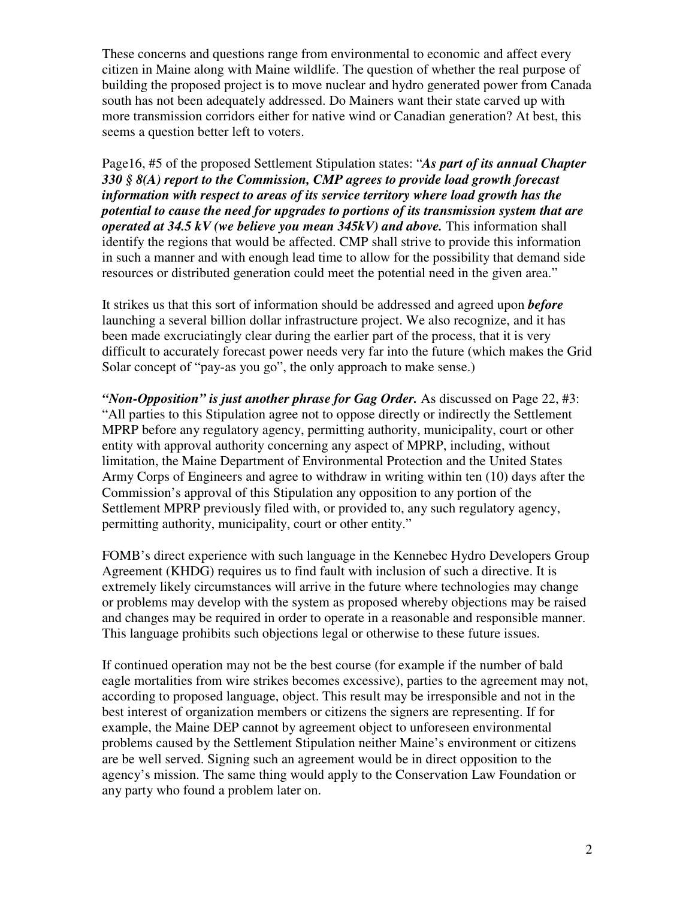These concerns and questions range from environmental to economic and affect every citizen in Maine along with Maine wildlife. The question of whether the real purpose of building the proposed project is to move nuclear and hydro generated power from Canada south has not been adequately addressed. Do Mainers want their state carved up with more transmission corridors either for native wind or Canadian generation? At best, this seems a question better left to voters.

Page16, #5 of the proposed Settlement Stipulation states: "*As part of its annual Chapter 330 § 8(A) report to the Commission, CMP agrees to provide load growth forecast information with respect to areas of its service territory where load growth has the potential to cause the need for upgrades to portions of its transmission system that are operated at 34.5 kV (we believe you mean 345kV) and above.* This information shall identify the regions that would be affected. CMP shall strive to provide this information in such a manner and with enough lead time to allow for the possibility that demand side resources or distributed generation could meet the potential need in the given area."

It strikes us that this sort of information should be addressed and agreed upon *before* launching a several billion dollar infrastructure project. We also recognize, and it has been made excruciatingly clear during the earlier part of the process, that it is very difficult to accurately forecast power needs very far into the future (which makes the Grid Solar concept of "pay-as you go", the only approach to make sense.)

*"Non-Opposition" is just another phrase for Gag Order.* As discussed on Page 22, #3: "All parties to this Stipulation agree not to oppose directly or indirectly the Settlement MPRP before any regulatory agency, permitting authority, municipality, court or other entity with approval authority concerning any aspect of MPRP, including, without limitation, the Maine Department of Environmental Protection and the United States Army Corps of Engineers and agree to withdraw in writing within ten (10) days after the Commission's approval of this Stipulation any opposition to any portion of the Settlement MPRP previously filed with, or provided to, any such regulatory agency, permitting authority, municipality, court or other entity."

FOMB's direct experience with such language in the Kennebec Hydro Developers Group Agreement (KHDG) requires us to find fault with inclusion of such a directive. It is extremely likely circumstances will arrive in the future where technologies may change or problems may develop with the system as proposed whereby objections may be raised and changes may be required in order to operate in a reasonable and responsible manner. This language prohibits such objections legal or otherwise to these future issues.

If continued operation may not be the best course (for example if the number of bald eagle mortalities from wire strikes becomes excessive), parties to the agreement may not, according to proposed language, object. This result may be irresponsible and not in the best interest of organization members or citizens the signers are representing. If for example, the Maine DEP cannot by agreement object to unforeseen environmental problems caused by the Settlement Stipulation neither Maine's environment or citizens are be well served. Signing such an agreement would be in direct opposition to the agency's mission. The same thing would apply to the Conservation Law Foundation or any party who found a problem later on.